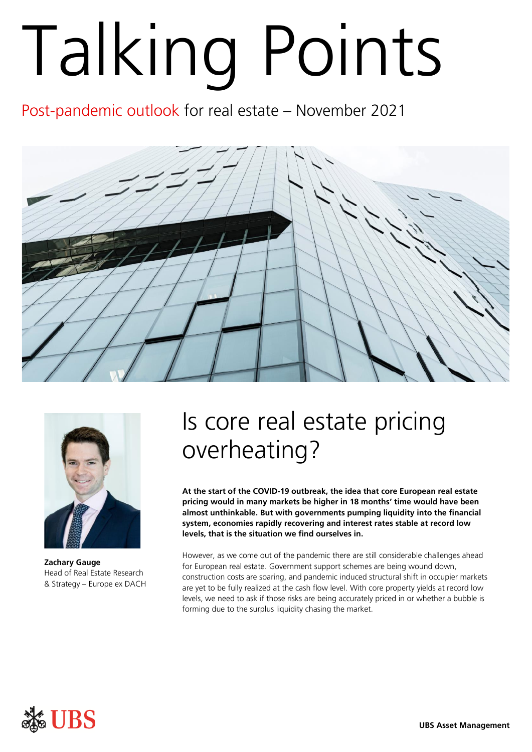## Talking Point s

Post-pandemic outlook for real estate – November 2021





**Zachary Gauge**  Head of Real Estate Research & Strategy – Europe ex DACH

## Is core real estate pricing overheating?

**At the start of the COVID-19 outbreak, the idea that core European real estate pricing would in many markets be higher in 18 months' time would have been almost unthinkable. But with governments pumping liquidity into the financial system, economies rapidly recovering and interest rates stable at record low levels, that is the situation we find ourselves in.** 

However, as we come out of the pandemic there are still considerable challenges ahead for European real estate. Government support schemes are being wound down, construction costs are soaring, and pandemic induced structural shift in occupier markets are yet to be fully realized at the cash flow level. With core property yields at record low levels, we need to ask if those risks are being accurately priced in or whether a bubble is forming due to the surplus liquidity chasing the market.

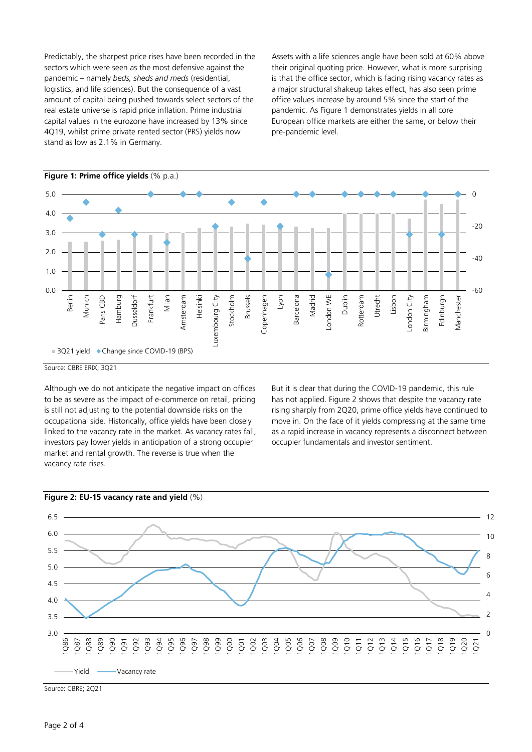Predictably, the sharpest price rises have been recorded in the sectors which were seen as the most defensive against the pandemic – namely *beds, sheds and meds* (residential, logistics, and life sciences). But the consequence of a vast amount of capital being pushed towards select sectors of the real estate universe is rapid price inflation. Prime industrial capital values in the eurozone have increased by 13% since 4Q19, whilst prime private rented sector (PRS) yields now stand as low as 2.1% in Germany.

Assets with a life sciences angle have been sold at 60% above their original quoting price. However, what is more surprising is that the office sector, which is facing rising vacancy rates as a major structural shakeup takes effect, has also seen prime office values increase by around 5% since the start of the pandemic. As Figure 1 demonstrates yields in all core European office markets are either the same, or below their pre-pandemic level.



Source: CBRE ERIX; 3Q21

Although we do not anticipate the negative impact on offices to be as severe as the impact of e-commerce on retail, pricing is still not adjusting to the potential downside risks on the occupational side. Historically, office yields have been closely linked to the vacancy rate in the market. As vacancy rates fall, investors pay lower yields in anticipation of a strong occupier market and rental growth. The reverse is true when the vacancy rate rises.

But it is clear that during the COVID-19 pandemic, this rule has not applied. Figure 2 shows that despite the vacancy rate rising sharply from 2Q20, prime office yields have continued to move in. On the face of it yields compressing at the same time as a rapid increase in vacancy represents a disconnect between occupier fundamentals and investor sentiment.





Source: CBRE; 2Q21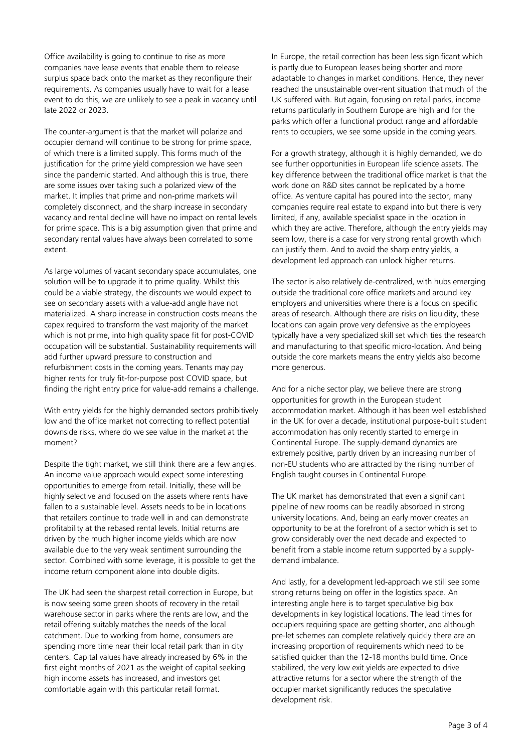Office availability is going to continue to rise as more companies have lease events that enable them to release surplus space back onto the market as they reconfigure their requirements. As companies usually have to wait for a lease event to do this, we are unlikely to see a peak in vacancy until late 2022 or 2023.

The counter-argument is that the market will polarize and occupier demand will continue to be strong for prime space, of which there is a limited supply. This forms much of the justification for the prime yield compression we have seen since the pandemic started. And although this is true, there are some issues over taking such a polarized view of the market. It implies that prime and non-prime markets will completely disconnect, and the sharp increase in secondary vacancy and rental decline will have no impact on rental levels for prime space. This is a big assumption given that prime and secondary rental values have always been correlated to some extent.

As large volumes of vacant secondary space accumulates, one solution will be to upgrade it to prime quality. Whilst this could be a viable strategy, the discounts we would expect to see on secondary assets with a value-add angle have not materialized. A sharp increase in construction costs means the capex required to transform the vast majority of the market which is not prime, into high quality space fit for post-COVID occupation will be substantial. Sustainability requirements will add further upward pressure to construction and refurbishment costs in the coming years. Tenants may pay higher rents for truly fit-for-purpose post COVID space, but finding the right entry price for value-add remains a challenge.

With entry yields for the highly demanded sectors prohibitively low and the office market not correcting to reflect potential downside risks, where do we see value in the market at the moment?

Despite the tight market, we still think there are a few angles. An income value approach would expect some interesting opportunities to emerge from retail. Initially, these will be highly selective and focused on the assets where rents have fallen to a sustainable level. Assets needs to be in locations that retailers continue to trade well in and can demonstrate profitability at the rebased rental levels. Initial returns are driven by the much higher income yields which are now available due to the very weak sentiment surrounding the sector. Combined with some leverage, it is possible to get the income return component alone into double digits.

The UK had seen the sharpest retail correction in Europe, but is now seeing some green shoots of recovery in the retail warehouse sector in parks where the rents are low, and the retail offering suitably matches the needs of the local catchment. Due to working from home, consumers are spending more time near their local retail park than in city centers. Capital values have already increased by 6% in the first eight months of 2021 as the weight of capital seeking high income assets has increased, and investors get comfortable again with this particular retail format.

In Europe, the retail correction has been less significant which is partly due to European leases being shorter and more adaptable to changes in market conditions. Hence, they never reached the unsustainable over-rent situation that much of the UK suffered with. But again, focusing on retail parks, income returns particularly in Southern Europe are high and for the parks which offer a functional product range and affordable rents to occupiers, we see some upside in the coming years.

For a growth strategy, although it is highly demanded, we do see further opportunities in European life science assets. The key difference between the traditional office market is that the work done on R&D sites cannot be replicated by a home office. As venture capital has poured into the sector, many companies require real estate to expand into but there is very limited, if any, available specialist space in the location in which they are active. Therefore, although the entry yields may seem low, there is a case for very strong rental growth which can justify them. And to avoid the sharp entry yields, a development led approach can unlock higher returns.

The sector is also relatively de-centralized, with hubs emerging outside the traditional core office markets and around key employers and universities where there is a focus on specific areas of research. Although there are risks on liquidity, these locations can again prove very defensive as the employees typically have a very specialized skill set which ties the research and manufacturing to that specific micro-location. And being outside the core markets means the entry yields also become more generous.

And for a niche sector play, we believe there are strong opportunities for growth in the European student accommodation market. Although it has been well established in the UK for over a decade, institutional purpose-built student accommodation has only recently started to emerge in Continental Europe. The supply-demand dynamics are extremely positive, partly driven by an increasing number of non-EU students who are attracted by the rising number of English taught courses in Continental Europe.

The UK market has demonstrated that even a significant pipeline of new rooms can be readily absorbed in strong university locations. And, being an early mover creates an opportunity to be at the forefront of a sector which is set to grow considerably over the next decade and expected to benefit from a stable income return supported by a supplydemand imbalance.

And lastly, for a development led-approach we still see some strong returns being on offer in the logistics space. An interesting angle here is to target speculative big box developments in key logistical locations. The lead times for occupiers requiring space are getting shorter, and although pre-let schemes can complete relatively quickly there are an increasing proportion of requirements which need to be satisfied quicker than the 12-18 months build time. Once stabilized, the very low exit yields are expected to drive attractive returns for a sector where the strength of the occupier market significantly reduces the speculative development risk.